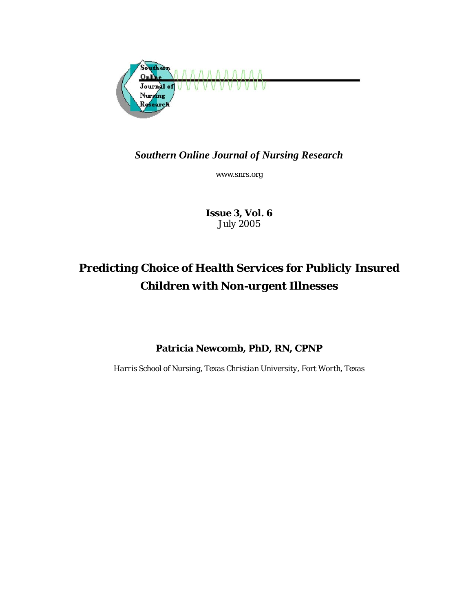

*Southern Online Journal of Nursing Research* 

www.snrs.org

*Issue 3, Vol. 6 July 2005* 

# *Predicting Choice of Health Services for Publicly Insured Children with Non-urgent Illnesses*

**Patricia Newcomb, PhD, RN, CPNP** 

*Harris School of Nursing, Texas Christian University, Fort Worth, Texas*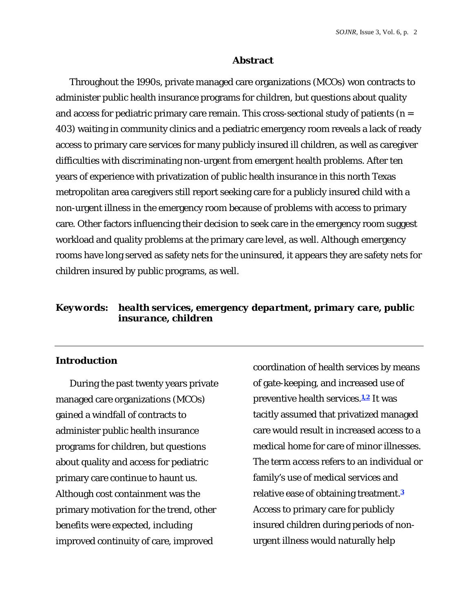## **Abstract**

Throughout the 1990s, private managed care organizations (MCOs) won contracts to administer public health insurance programs for children, but questions about quality and access for pediatric primary care remain. This cross-sectional study of patients (*n* = 403) waiting in community clinics and a pediatric emergency room reveals a lack of ready access to primary care services for many publicly insured ill children, as well as caregiver difficulties with discriminating non-urgent from emergent health problems. After ten years of experience with privatization of public health insurance in this north Texas metropolitan area caregivers still report seeking care for a publicly insured child with a non-urgent illness in the emergency room because of problems with access to primary care. Other factors influencing their decision to seek care in the emergency room suggest workload and quality problems at the primary care level, as well. Although emergency rooms have long served as safety nets for the uninsured, it appears they are safety nets for children insured by public programs, as well.

## *Keywords: health services, emergency department, primary care, public insurance, children*

## **Introduction**

During the past twenty years private managed care organizations (MCOs) gained a windfall of contracts to administer public health insurance programs for children, but questions about quality and access for pediatric primary care continue to haunt us. Although cost containment was the primary motivation for the trend, other benefits were expected, including improved continuity of care, improved

coordination of health services by means of gate-keeping, and increased use of preventive health services.**1,2** It was tacitly assumed that privatized managed care would result in increased access to a medical home for care of minor illnesses. The term *access* refers to an individual or family's use of medical services and relative ease of obtaining treatment.**<sup>3</sup>** Access to primary care for publicly insured children during periods of nonurgent illness would naturally help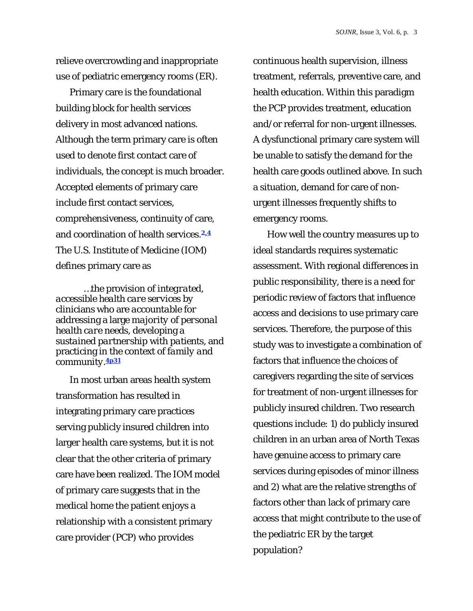relieve overcrowding and inappropriate use of pediatric emergency rooms (ER).

Primary care is the foundational building block for health services delivery in most advanced nations. Although the term primary care is often used to denote first contact care of individuals, the concept is much broader. Accepted elements of primary care include first contact services, comprehensiveness, continuity of care, and coordination of health services.**2,4** The U.S. Institute of Medicine (IOM) defines primary care as

…the provision of *integrated, accessible health care services* by clinicians who are *accountable* for addressing a large *majority of personal health care needs*, developing a *sustained partnership* with *patients*, and practicing in the context of *family and community*. **4p31** 

In most urban areas health system transformation has resulted in integrating primary care practices serving publicly insured children into larger health care systems, but it is not clear that the other criteria of primary care have been realized. The IOM model of primary care suggests that in the medical home the patient enjoys a relationship with a consistent primary care provider (PCP) who provides

continuous health supervision, illness treatment, referrals, preventive care, and health education. Within this paradigm the PCP provides treatment, education and/or referral for non-urgent illnesses. A dysfunctional primary care system will be unable to satisfy the demand for the health care goods outlined above. In such a situation, demand for care of nonurgent illnesses frequently shifts to emergency rooms.

How well the country measures up to ideal standards requires systematic assessment. With regional differences in public responsibility, there is a need for periodic review of factors that influence access and decisions to use primary care services. Therefore, the purpose of this study was to investigate a combination of factors that influence the choices of caregivers regarding the site of services for treatment of non-urgent illnesses for publicly insured children. Two research questions include: 1) do publicly insured children in an urban area of North Texas have genuine access to primary care services during episodes of minor illness and 2) what are the relative strengths of factors other than lack of primary care access that might contribute to the use of the pediatric ER by the target population?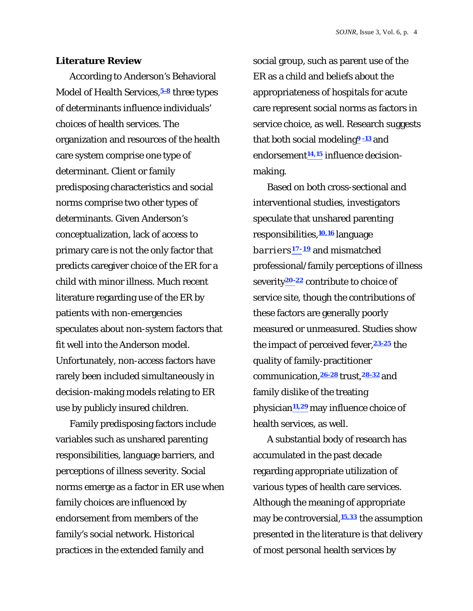#### **Literature Review**

According to Anderson's Behavioral Model of Health Services,**5-8** three types of determinants influence individuals' choices of health services. The organization and resources of the health care system comprise one type of determinant. Client or family predisposing characteristics and social norms comprise two other types of determinants. Given Anderson's conceptualization, lack of access to primary care is not the only factor that predicts caregiver choice of the ER for a child with minor illness. Much recent literature regarding use of the ER by patients with non-emergencies speculates about non-system factors that fit well into the Anderson model. Unfortunately, non-access factors have rarely been included simultaneously in decision-making models relating to ER use by publicly insured children.

Family predisposing factors include variables such as unshared parenting responsibilities, language barriers, and perceptions of illness severity. Social norms emerge as a factor in ER use when family choices are influenced by endorsement from members of the family's social network. Historical practices in the extended family and

social group, such as parent use of the ER as a child and beliefs about the appropriateness of hospitals for acute care represent social norms as factors in service choice, as well. Research suggests that both social modeling**9 -13** and endorsement**14,15** influence decisionmaking.

Based on both cross-sectional and interventional studies, investigators speculate that unshared parenting responsibilities,**10,16** language barriers **17-19** and mismatched professional/family perceptions of illness severity**20-22** contribute to choice of service site, though the contributions of these factors are generally poorly measured or unmeasured. Studies show the impact of perceived fever,**23-25** the quality of family-practitioner communication,**26-28** trust,**28-32** and family dislike of the treating physician**11,29** may influence choice of health services, as well.

A substantial body of research has accumulated in the past decade regarding appropriate utilization of various types of health care services. Although the meaning of appropriate may be controversial,**15,33** the assumption presented in the literature is that delivery of most personal health services by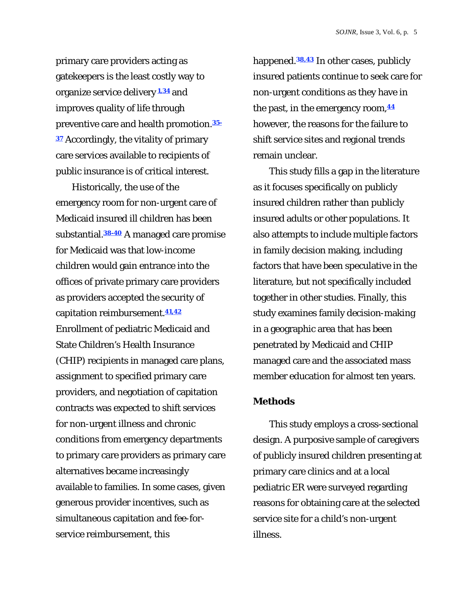primary care providers acting as gatekeepers is the least costly way to organize service delivery **1,34** and improves quality of life through preventive care and health promotion.**35- <sup>37</sup>** Accordingly, the vitality of primary care services available to recipients of public insurance is of critical interest.

 Historically, the use of the emergency room for non-urgent care of Medicaid insured ill children has been substantial.**38-40** A managed care promise for Medicaid was that low-income children would gain entrance into the offices of private primary care providers as providers accepted the security of capitation reimbursement.**41,42** Enrollment of pediatric Medicaid and State Children's Health Insurance (CHIP) recipients in managed care plans, assignment to specified primary care providers, and negotiation of capitation contracts was expected to shift services for non-urgent illness and chronic conditions from emergency departments to primary care providers as primary care alternatives became increasingly available to families. In some cases, given generous provider incentives, such as simultaneous capitation and fee-forservice reimbursement, this

happened.**38,43** In other cases, publicly insured patients continue to seek care for non-urgent conditions as they have in the past, in the emergency room,**<sup>44</sup>** however, the reasons for the failure to shift service sites and regional trends remain unclear.

 This study fills a gap in the literature as it focuses specifically on publicly insured children rather than publicly insured adults or other populations. It also attempts to include multiple factors in family decision making, including factors that have been speculative in the literature, but not specifically included together in other studies. Finally, this study examines family decision-making in a geographic area that has been penetrated by Medicaid and CHIP managed care and the associated mass member education for almost ten years.

#### **Methods**

This study employs a cross-sectional design. A purposive sample of caregivers of publicly insured children presenting at primary care clinics and at a local pediatric ER were surveyed regarding reasons for obtaining care at the selected service site for a child's non-urgent illness.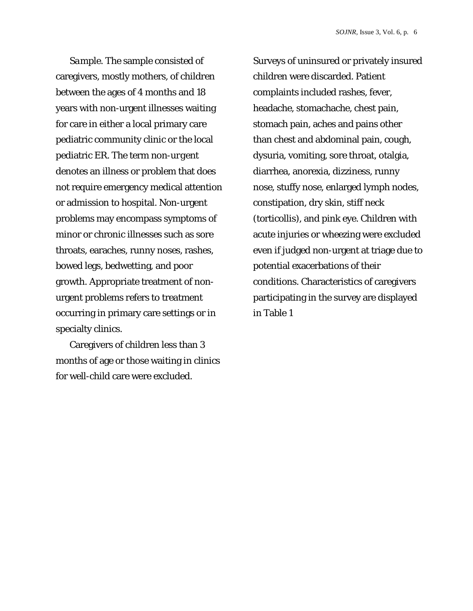*Sample.* The sample consisted of caregivers, mostly mothers, of children between the ages of 4 months and 18 years with non-urgent illnesses waiting for care in either a local primary care pediatric community clinic or the local pediatric ER. The term *non-urgent* denotes an illness or problem that does not require emergency medical attention or admission to hospital. Non-urgent problems may encompass symptoms of minor or chronic illnesses such as sore throats, earaches, runny noses, rashes, bowed legs, bedwetting, and poor growth. Appropriate treatment of nonurgent problems refers to treatment occurring in primary care settings or in specialty clinics.

Caregivers of children less than 3 months of age or those waiting in clinics for well-child care were excluded.

Surveys of uninsured or privately insured children were discarded. Patient complaints included rashes, fever, headache, stomachache, chest pain, stomach pain, aches and pains other than chest and abdominal pain, cough, dysuria, vomiting, sore throat, otalgia, diarrhea, anorexia, dizziness, runny nose, stuffy nose, enlarged lymph nodes, constipation, dry skin, stiff neck (torticollis), and pink eye. Children with acute injuries or wheezing were excluded even if judged non-urgent at triage due to potential exacerbations of their conditions. Characteristics of caregivers participating in the survey are displayed in Table 1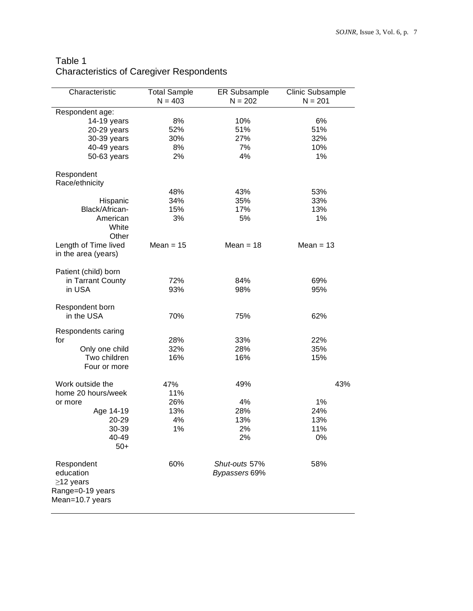# Table 1 Characteristics of Caregiver Respondents

| Characteristic                              | <b>Total Sample</b><br>$N = 403$ | ER Subsample<br>$N = 202$ | <b>Clinic Subsample</b><br>$N = 201$ |  |
|---------------------------------------------|----------------------------------|---------------------------|--------------------------------------|--|
| Respondent age:                             |                                  |                           |                                      |  |
| 14-19 years                                 | 8%                               | 10%                       | 6%                                   |  |
| 20-29 years                                 | 52%                              | 51%                       | 51%                                  |  |
| 30-39 years                                 | 30%                              | 27%                       | 32%                                  |  |
| 40-49 years                                 | 8%                               | 7%                        | 10%                                  |  |
| 50-63 years                                 | 2%                               | 4%                        | 1%                                   |  |
| Respondent                                  |                                  |                           |                                      |  |
| Race/ethnicity                              |                                  |                           |                                      |  |
|                                             | 48%                              | 43%                       | 53%                                  |  |
| Hispanic                                    | 34%                              | 35%                       | 33%                                  |  |
| Black/African-                              | 15%                              | 17%                       | 13%                                  |  |
| American                                    | 3%                               | 5%                        | 1%                                   |  |
| White<br>Other                              |                                  |                           |                                      |  |
| Length of Time lived<br>in the area (years) | Mean $= 15$                      | Mean $= 18$               | Mean $= 13$                          |  |
| Patient (child) born                        |                                  |                           |                                      |  |
| in Tarrant County                           | 72%                              | 84%                       | 69%                                  |  |
| in USA                                      | 93%                              | 98%                       | 95%                                  |  |
| Respondent born                             |                                  |                           |                                      |  |
| in the USA                                  | 70%                              | 75%                       | 62%                                  |  |
| Respondents caring                          |                                  |                           |                                      |  |
| for                                         | 28%                              | 33%                       | 22%                                  |  |
| Only one child                              | 32%                              | 28%                       | 35%                                  |  |
| Two children                                | 16%                              | 16%                       | 15%                                  |  |
| Four or more                                |                                  |                           |                                      |  |
| Work outside the                            | 47%                              | 49%                       | 43%                                  |  |
| home 20 hours/week                          | 11%                              |                           |                                      |  |
| or more                                     | 26%                              | 4%                        | 1%                                   |  |
| Age 14-19                                   | 13%                              | 28%                       | 24%                                  |  |
| 20-29                                       | 4%                               | 13%                       | 13%                                  |  |
| 30-39                                       | 1%                               | 2%                        | 11%                                  |  |
| 40-49                                       |                                  | 2%                        | 0%                                   |  |
| $50+$                                       |                                  |                           |                                      |  |
| Respondent                                  | 60%                              | Shut-outs 57%             | 58%                                  |  |
| education                                   |                                  | Bypassers 69%             |                                      |  |
| $\geq$ 12 years                             |                                  |                           |                                      |  |
| Range=0-19 years                            |                                  |                           |                                      |  |
| Mean=10.7 years                             |                                  |                           |                                      |  |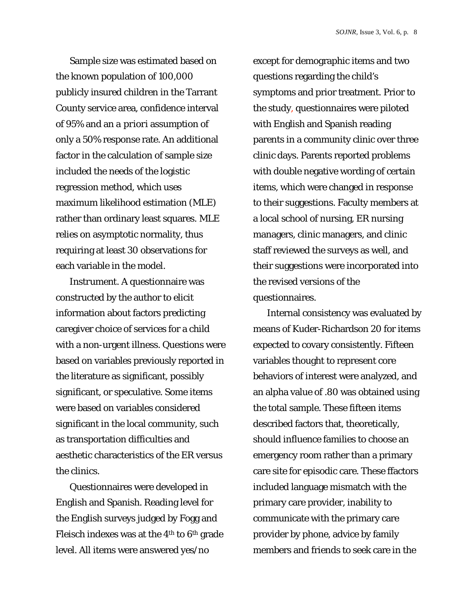Sample size was estimated based on the known population of 100,000 publicly insured children in the Tarrant County service area, confidence interval of 95% and an *a priori* assumption of only a 50% response rate. An additional factor in the calculation of sample size included the needs of the logistic regression method, which uses maximum likelihood estimation (MLE) rather than ordinary least squares. MLE relies on asymptotic normality, thus requiring at least 30 observations for each variable in the model.

*Instrument*. A questionnaire was constructed by the author to elicit information about factors predicting caregiver choice of services for a child with a non-urgent illness. Questions were based on variables previously reported in the literature as significant, possibly significant, or speculative. Some items were based on variables considered significant in the local community, such as transportation difficulties and aesthetic characteristics of the ER versus the clinics.

Questionnaires were developed in English and Spanish. Reading level for the English surveys judged by Fogg and Fleisch indexes was at the 4th to 6th grade level. All items were answered yes/no

except for demographic items and two questions regarding the child's symptoms and prior treatment. Prior to the study, questionnaires were piloted with English and Spanish reading parents in a community clinic over three clinic days. Parents reported problems with double negative wording of certain items, which were changed in response to their suggestions. Faculty members at a local school of nursing, ER nursing managers, clinic managers, and clinic staff reviewed the surveys as well, and their suggestions were incorporated into the revised versions of the questionnaires.

Internal consistency was evaluated by means of Kuder-Richardson 20 for items expected to covary consistently. Fifteen variables thought to represent core behaviors of interest were analyzed, and an alpha value of .80 was obtained using the total sample. These fifteen items described factors that, theoretically, should influence families to choose an emergency room rather than a primary care site for episodic care. These ffactors included language mismatch with the primary care provider, inability to communicate with the primary care provider by phone, advice by family members and friends to seek care in the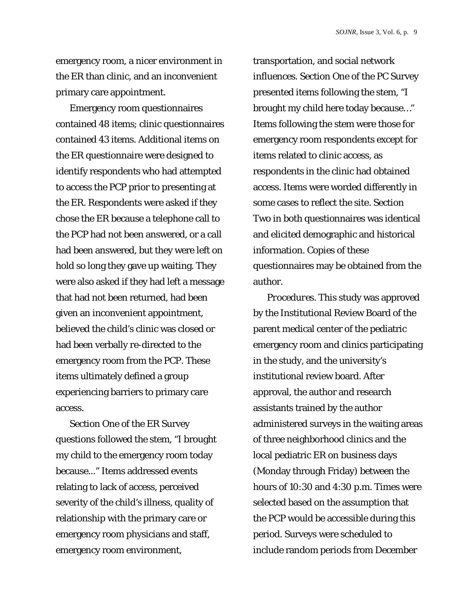emergency room, a nicer environment in the ER than clinic, and an inconvenient primary care appointment.

Emergency room questionnaires contained 48 items; clinic questionnaires contained 43 items. Additional items on the ER questionnaire were designed to identify respondents who had attempted to access the PCP prior to presenting at the ER. Respondents were asked if they chose the ER because a telephone call to the PCP had not been answered, or a call had been answered, but they were left on hold so long they gave up waiting. They were also asked if they had left a message that had not been returned, had been given an inconvenient appointment, believed the child's clinic was closed or had been verbally re-directed to the emergency room from the PCP. These items ultimately defined a group experiencing barriers to primary care access.

Section One of the ER Survey questions followed the stem, "I brought my child to the emergency room today because..." Items addressed events relating to lack of access, perceived severity of the child's illness, quality of relationship with the primary care or emergency room physicians and staff, emergency room environment,

transportation, and social network influences. Section One of the PC Survey presented items following the stem, "I brought my child here today because…" Items following the stem were those for emergency room respondents except for items related to clinic access, as respondents in the clinic had obtained access. Items were worded differently in some cases to reflect the site. Section Two in both questionnaires was identical and elicited demographic and historical information. Copies of these questionnaires may be obtained from the author.

*Procedures.* This study was approved by the Institutional Review Board of the parent medical center of the pediatric emergency room and clinics participating in the study, and the university's institutional review board. After approval, the author and research assistants trained by the author administered surveys in the waiting areas of three neighborhood clinics and the local pediatric ER on business days (Monday through Friday) between the hours of 10:30 and 4:30 p.m. Times were selected based on the assumption that the PCP would be accessible during this period. Surveys were scheduled to include random periods from December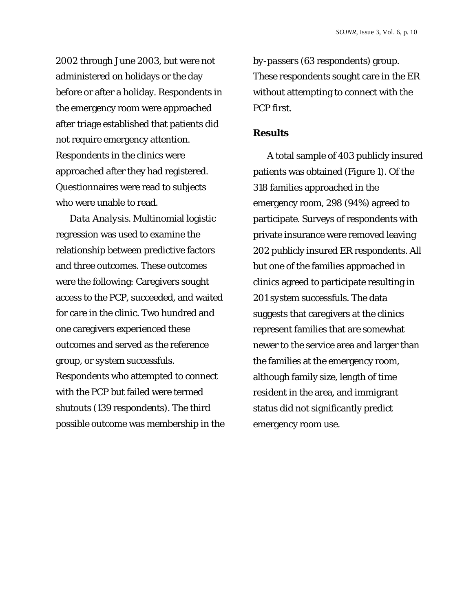2002 through June 2003, but were not administered on holidays or the day before or after a holiday. Respondents in the emergency room were approached after triage established that patients did not require emergency attention. Respondents in the clinics were approached after they had registered. Questionnaires were read to subjects who were unable to read.

*Data Analysis.* Multinomial logistic regression was used to examine the relationship between predictive factors and three outcomes. These outcomes were the following: Caregivers sought access to the PCP, succeeded, and waited for care in the clinic. Two hundred and one caregivers experienced these outcomes and served as the reference group, or *system successfuls*. Respondents who attempted to connect with the PCP but failed were termed *shutouts* (139 respondents)*.* The third possible outcome was membership in the *by-passers* (63 respondents) group*.* These respondents sought care in the ER without attempting to connect with the PCP first.

## **Results**

A total sample of 403 publicly insured patients was obtained (Figure 1). Of the 318 families approached in the emergency room, 298 (94%) agreed to participate. Surveys of respondents with private insurance were removed leaving 202 publicly insured ER respondents. All but one of the families approached in clinics agreed to participate resulting in 201 *system successfuls*. The data suggests that caregivers at the clinics represent families that are somewhat newer to the service area and larger than the families at the emergency room, although family size, length of time resident in the area, and immigrant status did not significantly predict emergency room use.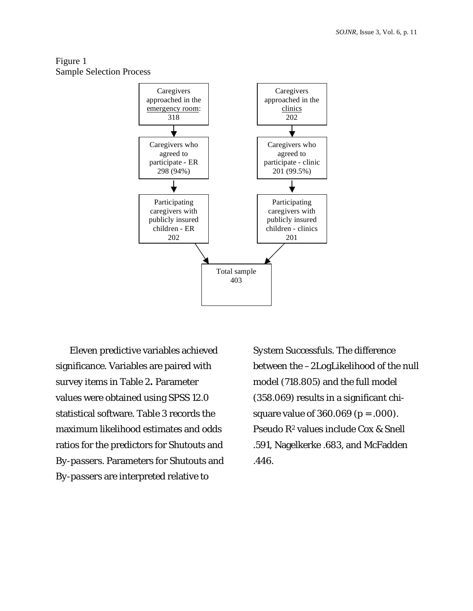Figure 1 Sample Selection Process



Eleven predictive variables achieved significance. Variables are paired with survey items in Table 2**.** Parameter values were obtained using SPSS 12.0 statistical software. Table 3 records the maximum likelihood estimates and odds ratios for the predictors for *Shutouts* and *By-passers*. Parameters for *Shutouts* and *By-passers* are interpreted relative to

*System Successfuls*. The difference between the –2LogLikelihood of the null model (718.805) and the full model (358.069) results in a significant chisquare value of  $360.069$  (p = .000). Pseudo R2 values include Cox & Snell .591, Nagelkerke .683, and McFadden .446.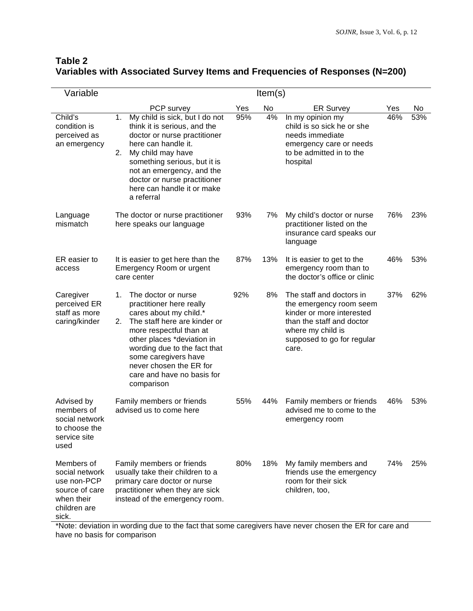# **Table 2 Variables with Associated Survey Items and Frequencies of Responses (N=200)**

| Variable                                                                                             | Item(s)                                                                                                                                                                                                                                                                                                       |     |     |                                                                                                                                                                           |     |     |
|------------------------------------------------------------------------------------------------------|---------------------------------------------------------------------------------------------------------------------------------------------------------------------------------------------------------------------------------------------------------------------------------------------------------------|-----|-----|---------------------------------------------------------------------------------------------------------------------------------------------------------------------------|-----|-----|
|                                                                                                      | PCP survey                                                                                                                                                                                                                                                                                                    | Yes | No  | <b>ER Survey</b>                                                                                                                                                          | Yes | No  |
| Child's<br>condition is<br>perceived as<br>an emergency                                              | My child is sick, but I do not<br>1.<br>think it is serious, and the<br>doctor or nurse practitioner<br>here can handle it.<br>My child may have<br>2.<br>something serious, but it is<br>not an emergency, and the<br>doctor or nurse practitioner<br>here can handle it or make<br>a referral               | 95% | 4%  | In my opinion my<br>child is so sick he or she<br>needs immediate<br>emergency care or needs<br>to be admitted in to the<br>hospital                                      | 46% | 53% |
| Language<br>mismatch                                                                                 | The doctor or nurse practitioner<br>here speaks our language                                                                                                                                                                                                                                                  | 93% | 7%  | My child's doctor or nurse<br>practitioner listed on the<br>insurance card speaks our<br>language                                                                         | 76% | 23% |
| ER easier to<br>access                                                                               | It is easier to get here than the<br>Emergency Room or urgent<br>care center                                                                                                                                                                                                                                  | 87% | 13% | It is easier to get to the<br>emergency room than to<br>the doctor's office or clinic                                                                                     | 46% | 53% |
| Caregiver<br>perceived ER<br>staff as more<br>caring/kinder                                          | The doctor or nurse<br>1.<br>practitioner here really<br>cares about my child.*<br>The staff here are kinder or<br>2.<br>more respectful than at<br>other places *deviation in<br>wording due to the fact that<br>some caregivers have<br>never chosen the ER for<br>care and have no basis for<br>comparison | 92% | 8%  | The staff and doctors in<br>the emergency room seem<br>kinder or more interested<br>than the staff and doctor<br>where my child is<br>supposed to go for regular<br>care. | 37% | 62% |
| Advised by<br>members of<br>social network<br>to choose the<br>service site<br>used                  | Family members or friends<br>advised us to come here                                                                                                                                                                                                                                                          | 55% | 44% | Family members or friends<br>advised me to come to the<br>emergency room                                                                                                  | 46% | 53% |
| Members of<br>social network<br>use non-PCP<br>source of care<br>when their<br>children are<br>sick. | Family members or friends<br>usually take their children to a<br>primary care doctor or nurse<br>practitioner when they are sick<br>instead of the emergency room.                                                                                                                                            | 80% | 18% | My family members and<br>friends use the emergency<br>room for their sick<br>children, too,                                                                               | 74% | 25% |

\*Note: deviation in wording due to the fact that some caregivers have never chosen the ER for care and have no basis for comparison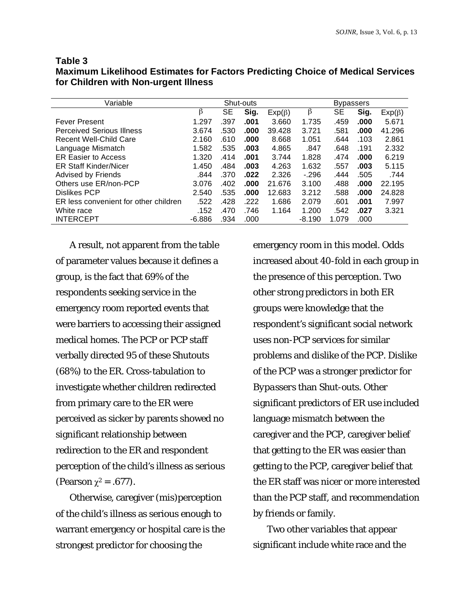| Variable                              | Shut-outs |           |      |              | <b>Bypassers</b> |           |      |              |
|---------------------------------------|-----------|-----------|------|--------------|------------------|-----------|------|--------------|
|                                       | β         | <b>SE</b> | Sig. | $Exp(\beta)$ | β                | <b>SE</b> | Sig. | $Exp(\beta)$ |
| <b>Fever Present</b>                  | 1.297     | .397      | .001 | 3.660        | 1.735            | .459      | .000 | 5.671        |
| <b>Perceived Serious Illness</b>      | 3.674     | .530      | .000 | 39.428       | 3.721            | .581      | .000 | 41.296       |
| Recent Well-Child Care                | 2.160     | .610      | .000 | 8.668        | 1.051            | .644      | .103 | 2.861        |
| Language Mismatch                     | 1.582     | .535      | .003 | 4.865        | .847             | .648      | .191 | 2.332        |
| <b>ER Easier to Access</b>            | 1.320     | .414      | .001 | 3.744        | 1.828            | .474      | .000 | 6.219        |
| <b>ER Staff Kinder/Nicer</b>          | 1.450     | .484      | .003 | 4.263        | 1.632            | .557      | .003 | 5.115        |
| Advised by Friends                    | .844      | .370      | .022 | 2.326        | $-296$           | .444      | .505 | .744         |
| Others use ER/non-PCP                 | 3.076     | .402      | .000 | 21.676       | 3.100            | .488      | .000 | 22.195       |
| <b>Dislikes PCP</b>                   | 2.540     | .535      | .000 | 12.683       | 3.212            | .588      | .000 | 24.828       |
| ER less convenient for other children | .522      | .428      | .222 | 1.686        | 2.079            | .601      | .001 | 7.997        |
| White race                            | .152      | .470      | .746 | 1.164        | 1.200            | .542      | .027 | 3.321        |
| <b>INTERCEPT</b>                      | $-6.886$  | .934      | .000 |              | $-8.190$         | 1.079     | .000 |              |
|                                       |           |           |      |              |                  |           |      |              |

## **Table 3 Maximum Likelihood Estimates for Factors Predicting Choice of Medical Services for Children with Non-urgent Illness**

A result, not apparent from the table of parameter values because it defines a group, is the fact that 69% of the respondents seeking service in the emergency room reported events that were barriers to accessing their assigned medical homes. The PCP or PCP staff verbally directed 95 of these *Shutouts*  (68%) to the ER. Cross-tabulation to investigate whether children redirected from primary care to the ER were perceived as sicker by parents showed no significant relationship between redirection to the ER and respondent perception of the child's illness as serious (Pearson  $\gamma^2$  = .677).

Otherwise, caregiver (mis)perception of the child's illness as serious enough to warrant emergency or hospital care is the strongest predictor for choosing the

emergency room in this model. Odds increased about 40-fold in each group in the presence of this perception. Two other strong predictors in both ER groups were knowledge that the respondent's significant social network uses non-PCP services for similar problems and dislike of the PCP. Dislike of the PCP was a stronger predictor for *Bypassers* than *Shut-outs.* Other significant predictors of ER use included language mismatch between the caregiver and the PCP, caregiver belief that getting to the ER was easier than getting to the PCP, caregiver belief that the ER staff was nicer or more interested than the PCP staff, and recommendation by friends or family.

Two other variables that appear significant include white race and the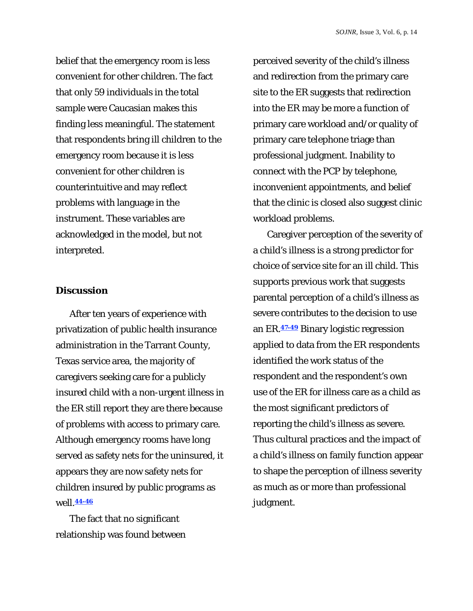belief that the emergency room is less convenient for other children. The fact that only 59 individuals in the total sample were Caucasian makes this finding less meaningful. The statement that respondents bring ill children to the emergency room because it is less convenient for other children is counterintuitive and may reflect problems with language in the instrument. These variables are acknowledged in the model, but not interpreted.

#### **Discussion**

After ten years of experience with privatization of public health insurance administration in the Tarrant County, Texas service area, the majority of caregivers seeking care for a publicly insured child with a non-urgent illness in the ER still report they are there because of problems with access to primary care. Although emergency rooms have long served as safety nets for the uninsured, it appears they are now safety nets for children insured by public programs as well.**44-46** 

The fact that no significant relationship was found between perceived severity of the child's illness and redirection from the primary care site to the ER suggests that redirection into the ER may be more a function of primary care workload and/or quality of primary care telephone triage than professional judgment. Inability to connect with the PCP by telephone, inconvenient appointments, and belief that the clinic is closed also suggest clinic workload problems.

Caregiver perception of the severity of a child's illness is a strong predictor for choice of service site for an ill child. This supports previous work that suggests parental perception of a child's illness as severe contributes to the decision to use an ER.**47-49** Binary logistic regression applied to data from the ER respondents identified the work status of the respondent and the respondent's own use of the ER for illness care as a child as the most significant predictors of reporting the child's illness as severe. Thus cultural practices and the impact of a child's illness on family function appear to shape the perception of illness severity as much as or more than professional judgment.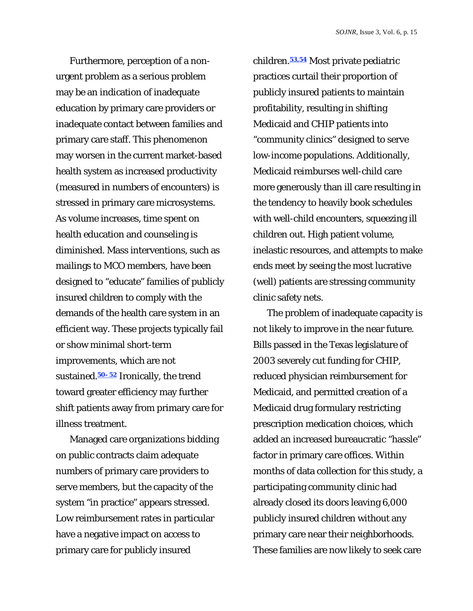Furthermore, perception of a nonurgent problem as a serious problem may be an indication of inadequate education by primary care providers or inadequate contact between families and primary care staff. This phenomenon may worsen in the current market-based health system as increased productivity (measured in numbers of encounters) is stressed in primary care microsystems. As volume increases, time spent on health education and counseling is diminished. Mass interventions, such as mailings to MCO members, have been designed to "educate" families of publicly insured children to comply with the demands of the health care system in an efficient way. These projects typically fail or show minimal short-term improvements, which are not sustained.**50- 52** Ironically, the trend toward greater efficiency may further shift patients away from primary care for illness treatment.

Managed care organizations bidding on public contracts claim adequate numbers of primary care providers to serve members, but the capacity of the system "in practice" appears stressed. Low reimbursement rates in particular have a negative impact on access to primary care for publicly insured

children.**53,54** Most private pediatric practices curtail their proportion of publicly insured patients to maintain profitability, resulting in shifting Medicaid and CHIP patients into "community clinics" designed to serve low-income populations. Additionally, Medicaid reimburses well-child care more generously than ill care resulting in the tendency to heavily book schedules with well-child encounters, squeezing ill children out. High patient volume, inelastic resources, and attempts to make ends meet by seeing the most lucrative (well) patients are stressing community clinic safety nets.

The problem of inadequate capacity is not likely to improve in the near future. Bills passed in the Texas legislature of 2003 severely cut funding for CHIP, reduced physician reimbursement for Medicaid, and permitted creation of a Medicaid drug formulary restricting prescription medication choices, which added an increased bureaucratic "hassle" factor in primary care offices. Within months of data collection for this study, a participating community clinic had already closed its doors leaving 6,000 publicly insured children without any primary care near their neighborhoods. These families are now likely to seek care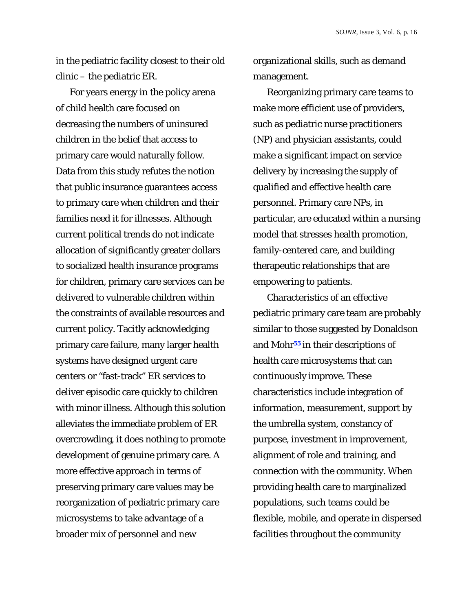in the pediatric facility closest to their old clinic – the pediatric ER.

For years energy in the policy arena of child health care focused on decreasing the numbers of uninsured children in the belief that access to primary care would naturally follow. Data from this study refutes the notion that public insurance guarantees access to primary care when children and their families need it for illnesses. Although current political trends do not indicate allocation of significantly greater dollars to socialized health insurance programs for children, primary care services can be delivered to vulnerable children within the constraints of available resources and current policy. Tacitly acknowledging primary care failure, many larger health systems have designed urgent care centers or "fast-track" ER services to deliver episodic care quickly to children with minor illness. Although this solution alleviates the immediate problem of ER overcrowding, it does nothing to promote development of genuine primary care. A more effective approach in terms of preserving primary care values may be reorganization of pediatric primary care microsystems to take advantage of a broader mix of personnel and new

organizational skills, such as demand management.

Reorganizing primary care teams to make more efficient use of providers, such as pediatric nurse practitioners (NP) and physician assistants, could make a significant impact on service delivery by increasing the supply of qualified and effective health care personnel. Primary care NPs, in particular, are educated within a nursing model that stresses health promotion, family-centered care, and building therapeutic relationships that are empowering to patients.

Characteristics of an effective pediatric primary care team are probably similar to those suggested by Donaldson and Mohr**55** in their descriptions of health care microsystems that can continuously improve. These characteristics include integration of information, measurement, support by the umbrella system, constancy of purpose, investment in improvement, alignment of role and training, and connection with the community. When providing health care to marginalized populations, such teams could be flexible, mobile, and operate in dispersed facilities throughout the community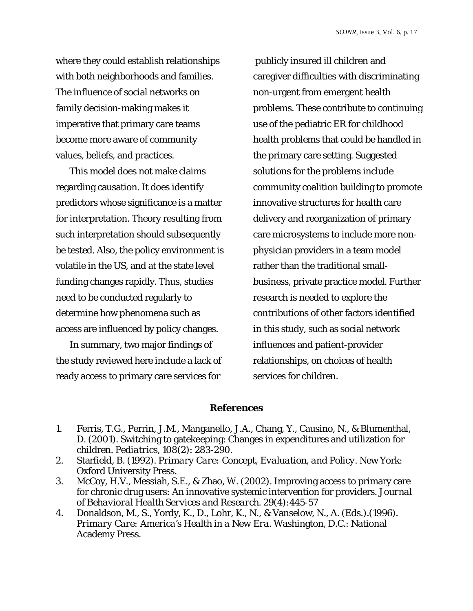where they could establish relationships with both neighborhoods and families. The influence of social networks on family decision-making makes it imperative that primary care teams become more aware of community values, beliefs, and practices.

This model does not make claims regarding causation. It does identify predictors whose significance is a matter for interpretation. Theory resulting from such interpretation should subsequently be tested. Also, the policy environment is volatile in the US, and at the state level funding changes rapidly. Thus, studies need to be conducted regularly to determine how phenomena such as access are influenced by policy changes.

In summary, two major findings of the study reviewed here include a lack of ready access to primary care services for

 publicly insured ill children and caregiver difficulties with discriminating non-urgent from emergent health problems. These contribute to continuing use of the pediatric ER for childhood health problems that could be handled in the primary care setting. Suggested solutions for the problems include community coalition building to promote innovative structures for health care delivery and reorganization of primary care microsystems to include more nonphysician providers in a team model rather than the traditional smallbusiness, private practice model. Further research is needed to explore the contributions of other factors identified in this study, such as social network influences and patient-provider relationships, on choices of health services for children.

## **References**

- 1. Ferris, T.G., Perrin, J.M., Manganello, J.A., Chang, Y., Causino, N., & Blumenthal, D. (2001). Switching to gatekeeping: Changes in expenditures and utilization for children. *Pediatrics, 108*(2): 283-290.
- 2. Starfield, B. (1992). *Primary Care: Concept, Evaluation, and Policy.* New York: Oxford University Press.
- 3. McCoy, H.V., Messiah, S.E., & Zhao, W. (2002). Improving access to primary care for chronic drug users: An innovative systemic intervention for providers. *Journal of Behavioral Health Services and Research. 29*(4)*:*445-57
- 4. Donaldson, M., S., Yordy, K., D., Lohr, K., N., & Vanselow, N., A. (Eds.).(1996). *Primary Care: America's Health in a New Era.* Washington, D.C.: National Academy Press.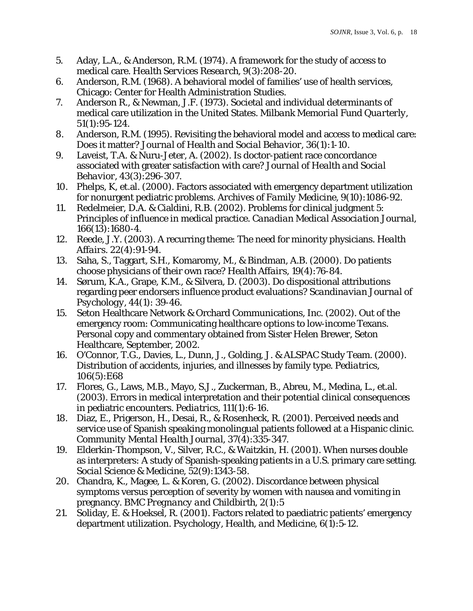- 5. Aday, L.A., & Anderson, R.M. (1974). A framework for the study of access to medical care. *Health Services Research,* 9(3):208-20.
- 6. Anderson, R.M. (1968). A behavioral model of families' use of health services, Chicago: Center for Health Administration Studies.
- 7. Anderson R., & Newman, J.F. (1973). Societal and individual determinants of medical care utilization in the United States. *Milbank Memorial Fund Quarterly, 51*(1):95-124.
- 8. Anderson, R.M. (1995). Revisiting the behavioral model and access to medical care: Does it matter? *Journal of Health and Social Behavior,* 36(1):1-10.
- 9. Laveist, T.A. & Nuru-Jeter, A. (2002). Is doctor-patient race concordance associated with greater satisfaction with care? *Journal of Health and Social Behavior*, *43*(3):296-307.
- 10. Phelps, K, et.al. (2000). Factors associated with emergency department utilization for nonurgent pediatric problems. *Archives of Family Medicine, 9*(10):1086-92.
- 11. Redelmeier, D.A. & Cialdini, R.B. (2002). Problems for clinical judgment 5: Principles of influence in medical practice. *Canadian Medical Association Journal, 166*(13):1680-4.
- 12. Reede, J.Y. (2003). A recurring theme: The need for minority physicians. *Health Affairs. 22*(4):91-94.
- 13. Saha, S., Taggart, S.H., Komaromy, M., & Bindman, A.B. (2000). Do patients choose physicians of their own race? *Health Affairs, 19*(4):76-84.
- 14. Sørum, K.A., Grape, K.M., & Silvera, D. (2003). Do dispositional attributions regarding peer endorsers influence product evaluations? *Scandinavian Journal of Psychology, 44*(1): 39-46.
- 15. Seton Healthcare Network & Orchard Communications, Inc. (2002). Out of the emergency room: Communicating healthcare options to low-income Texans. Personal copy and commentary obtained from Sister Helen Brewer, Seton Healthcare, September, 2002.
- 16. O'Connor, T.G., Davies, L., Dunn, J., Golding, J. & ALSPAC Study Team. (2000). Distribution of accidents, injuries, and illnesses by family type. *Pediatrics, 106*(5):E68
- 17. Flores, G., Laws, M.B., Mayo, S.J., Zuckerman, B., Abreu, M., Medina, L., et.al. (2003). Errors in medical interpretation and their potential clinical consequences in pediatric encounters. *Pediatrics, 111*(1):6-16.
- 18. Diaz, E., Prigerson, H., Desai, R., & Rosenheck, R. (2001). Perceived needs and service use of Spanish speaking monolingual patients followed at a Hispanic clinic. *Community Mental Health Journal, 37*(4):335-347.
- 19. Elderkin-Thompson, V., Silver, R.C., & Waitzkin, H. (2001). When nurses double as interpreters: A study of Spanish-speaking patients in a U.S. primary care setting. *Social Science & Medicine*, 52(9):1343-58.
- 20. Chandra, K., Magee, L. & Koren, G. (2002). Discordance between physical symptoms versus perception of severity by women with nausea and vomiting in pregnancy. *BMC Pregnancy and Childbirth, 2*(1):5
- 21. Soliday, E. & Hoeksel, R. (2001). Factors related to paediatric patients' emergency department utilization. *Psychology, Health, and Medicine, 6*(1):5-12.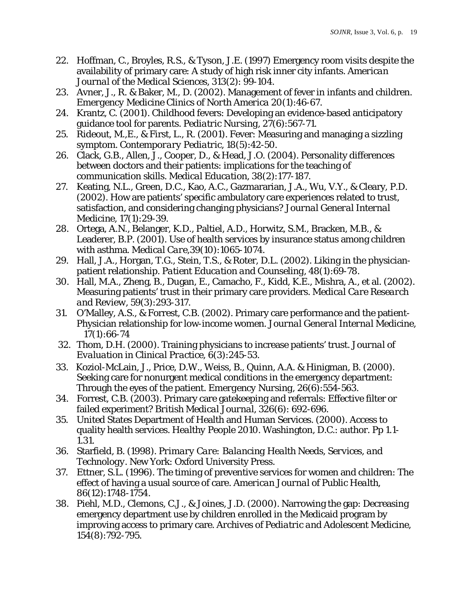- 22. Hoffman, C., Broyles, R.S., & Tyson, J.E. (1997) Emergency room visits despite the availability of primary care: A study of high risk inner city infants. *American Journal of the Medical Sciences, 313(*2): 99-104.
- 23. Avner, J., R. & Baker, M., D. (2002). Management of fever in infants and children. *Emergency Medicine Clinics of North America 20*(1):46-67.
- 24. Krantz, C. (2001). Childhood fevers: Developing an evidence-based anticipatory guidance tool for parents. *Pediatric Nursing, 27*(6):567-71.
- 25. Rideout, M.,E., & First, L., R. (2001). Fever: Measuring and managing a sizzling symptom. *Contemporary Pediatric, 18*(5):42-50.
- 26. Clack, G.B., Allen, J., Cooper, D., & Head, J.O. (2004). Personality differences between doctors and their patients: implications for the teaching of communication skills. *Medical Education, 38*(2):177-187.
- 27. Keating, N.L., Green, D.C., Kao, A.C., Gazmararian, J.A., Wu, V.Y., & Cleary, P.D. (2002). How are patients' specific ambulatory care experiences related to trust, satisfaction, and considering changing physicians? *Journal General Internal Medicine,* 17(1):29-39.
- 28. Ortega, A.N., Belanger, K.D., Paltiel, A.D., Horwitz, S.M., Bracken, M.B., & Leaderer, B.P. (2001). Use of health services by insurance status among children with asthma. *Medical Care,39*(10):1065-1074.
- 29. Hall, J.A., Horgan, T.G., Stein, T.S., & Roter, D.L. (2002). Liking in the physicianpatient relationship. *Patient Education and Counseling, 48*(1):69-78.
- 30. Hall, M.A., Zheng, B., Dugan, E., Camacho, F., Kidd, K.E., Mishra, A., et al. (2002). Measuring patients' trust in their primary care providers. *Medical Care Research and Review, 59*(3):293-317.
- 31. O'Malley, A.S., & Forrest, C.B. (2002). Primary care performance and the patient-Physician relationship for low-income women. *Journal General Internal Medicine, 17*(1):66-74
- 32. Thom, D.H. (2000). Training physicians to increase patients' trust. *Journal of Evaluation in Clinical Practice,* 6(3):245-53.
- 33. Koziol-McLain, J., Price, D.W., Weiss, B., Quinn, A.A. & Hinigman, B. (2000). Seeking care for nonurgent medical conditions in the emergency department: Through the eyes of the patient. *Emergency Nursing, 26*(6):554-563.
- 34. Forrest, C.B. (2003). Primary care gatekeeping and referrals: Effective filter or failed experiment? *British Medical Journal, 326*(6): 692-696.
- 35. United States Department of Health and Human Services. (2000). Access to quality health services. *Healthy People 2010.* Washington, D.C.: author. Pp 1.1- 1.31.
- 36. Starfield, B. (1998). *Primary Care: Balancing Health Needs, Services, and Technology.* New York: Oxford University Press.
- 37. Ettner, S.L. (1996). The timing of preventive services for women and children: The effect of having a usual source of care. *American Journal of Public Health, 86*(12):1748-1754.
- 38. Piehl, M.D., Clemons, C.J., & Joines, J.D. (2000). Narrowing the gap: Decreasing emergency department use by children enrolled in the Medicaid program by improving access to primary care. *Archives of Pediatric and Adolescent Medicine, 154*(8):792-795.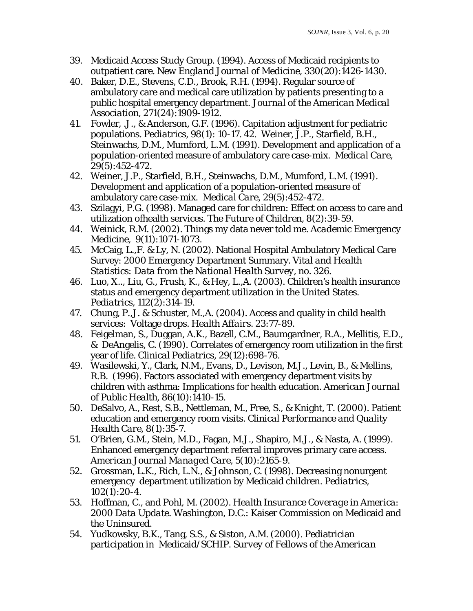- 39. Medicaid Access Study Group. (1994). Access of Medicaid recipients to outpatient care. *New England Journal of Medicine, 330*(20):1426-1430.
- 40. Baker, D.E., Stevens, C.D., Brook, R.H. (1994). Regular source of ambulatory care and medical care utilization by patients presenting to a public hospital emergency department. *Journal of the American Medical Association, 271*(24):1909-1912.
- 41. Fowler, .J., & Anderson, G.F. (1996). Capitation adjustment for pediatric populations. *Pediatrics, 98*(1): 10-17. 42. Weiner, J.P., Starfield, B.H., Steinwachs, D.M., Mumford, L.M. (1991). Development and application of a population-oriented measure of ambulatory care case-mix. *Medical Care, 29*(5):452-472.
- 42. Weiner, J.P., Starfield, B.H., Steinwachs, D.M., Mumford, L.M. (1991). Development and application of a population-oriented measure of ambulatory care case-mix. *Medical Care, 29*(5):452-472.
- 43. Szilagyi, P.G. (1998). Managed care for children: Effect on access to care and utilization ofhealth services. *The Future of Children, 8*(2):39-59.
- 44. Weinick, R.M. (2002). Things my data never told me. *Academic Emergency Medicine, 9*(11):1071-1073.
- 45. McCaig, L.,F. & Ly, N. (2002). National Hospital Ambulatory Medical Care Survey: 2000 Emergency Department Summary. *Vital and Health Statistics: Data from the National Health Survey, no. 326.*
- 46. Luo, X.., Liu, G., Frush, K., & Hey, L.,A. (2003). Children's health insurance status and emergency department utilization in the United States. *Pediatrics, 112*(2):314-19.
- 47. Chung, P.,J. & Schuster, M.,A. (2004). Access and quality in child health services: Voltage drops. *Health Affairs.* 23:77-89.
- 48. Feigelman, S., Duggan, A.K., Bazell, C.M., Baumgardner, R.A., Mellitis, E.D., & DeAngelis, C. (1990). Correlates of emergency room utilization in the first year of life. *Clinical Pediatrics*, *29*(12):698-76.
- 49. Wasilewski, Y., Clark, N.M., Evans, D., Levison, M.J., Levin, B., & Mellins, R.B. (1996). Factors associated with emergency department visits by children with asthma: Implications for health education. *American Journal of Public Health*, *86*(10):1410-15.
- 50. DeSalvo, A., Rest, S.B., Nettleman, M., Free, S., & Knight, T. (2000). Patient education and emergency room visits. *Clinical Performance and Quality Health Care, 8*(1):35-7.
- 51. O'Brien, G.M., Stein, M.D., Fagan, M.J., Shapiro, M.J., & Nasta, A. (1999). Enhanced emergency department referral improves primary care access. *American Journal Managed Care,* 5(10):2165-9.
- 52. Grossman, L.K., Rich, L.N., & Johnson, C. (1998). Decreasing nonurgent emergency department utilization by Medicaid children. *Pediatrics, 102*(1):20-4.
- 53. Hoffman, C., and Pohl, M. (2002). *Health Insurance Coverage in America: 2000 Data Update.* Washington, D.C.: Kaiser Commission on Medicaid and the Uninsured.
- 54. Yudkowsky, B.K., Tang, S.S., & Siston, A.M. (2000). Pediatrician participation in Medicaid/SCHIP. *Survey of Fellows of the American*